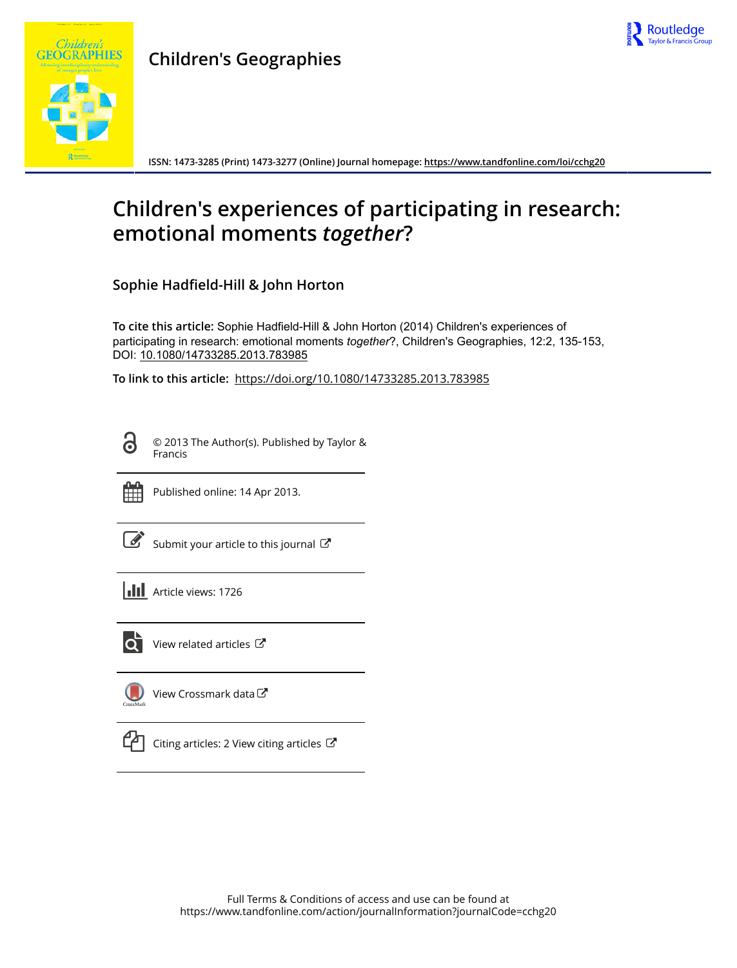

## **Children's Geographies**



**ISSN: 1473-3285 (Print) 1473-3277 (Online) Journal homepage:<https://www.tandfonline.com/loi/cchg20>**

# **Children's experiences of participating in research: emotional moments** *together***?**

**Sophie Hadfield-Hill & John Horton**

**To cite this article:** Sophie Hadfield-Hill & John Horton (2014) Children's experiences of participating in research: emotional moments *together*?, Children's Geographies, 12:2, 135-153, DOI: [10.1080/14733285.2013.783985](https://www.tandfonline.com/action/showCitFormats?doi=10.1080/14733285.2013.783985)

**To link to this article:** <https://doi.org/10.1080/14733285.2013.783985>

G

© 2013 The Author(s). Published by Taylor & Francis



Published online: 14 Apr 2013.

[Submit your article to this journal](https://www.tandfonline.com/action/authorSubmission?journalCode=cchg20&show=instructions)  $\mathbb{Z}$ 

**III** Article views: 1726



 $\overrightarrow{Q}$  [View related articles](https://www.tandfonline.com/doi/mlt/10.1080/14733285.2013.783985)  $\overrightarrow{C}$ 

[View Crossmark data](http://crossmark.crossref.org/dialog/?doi=10.1080/14733285.2013.783985&domain=pdf&date_stamp=2013-04-14)



 $\Box$  [Citing articles: 2 View citing articles](https://www.tandfonline.com/doi/citedby/10.1080/14733285.2013.783985#tabModule)  $\Box$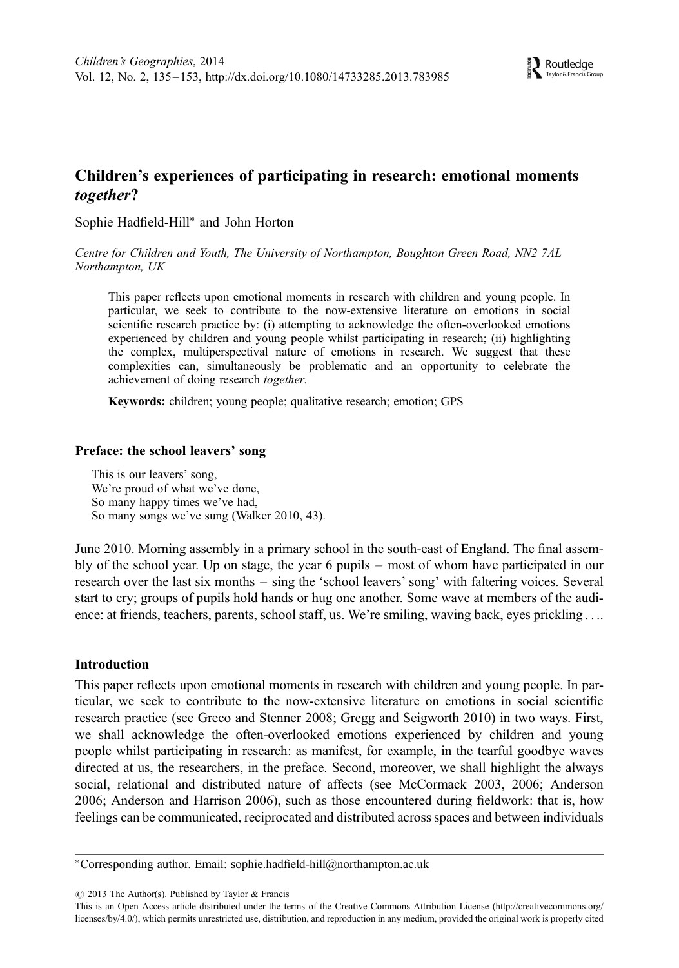### Children's experiences of participating in research: emotional moments together?

Sophie Hadfield-Hill<sup>∗</sup> and John Horton

Centre for Children and Youth, The University of Northampton, Boughton Green Road, NN2 7AL Northampton, UK

This paper reflects upon emotional moments in research with children and young people. In particular, we seek to contribute to the now-extensive literature on emotions in social scientific research practice by: (i) attempting to acknowledge the often-overlooked emotions experienced by children and young people whilst participating in research; (ii) highlighting the complex, multiperspectival nature of emotions in research. We suggest that these complexities can, simultaneously be problematic and an opportunity to celebrate the achievement of doing research together.

Keywords: children; young people; qualitative research; emotion; GPS

#### Preface: the school leavers' song

This is our leavers' song, We're proud of what we've done, So many happy times we've had, So many songs we've sung (Walker 2010, 43).

June 2010. Morning assembly in a primary school in the south-east of England. The final assembly of the school year. Up on stage, the year 6 pupils – most of whom have participated in our research over the last six months – sing the 'school leavers' song' with faltering voices. Several start to cry; groups of pupils hold hands or hug one another. Some wave at members of the audience: at friends, teachers, parents, school staff, us. We're smiling, waving back, eyes prickling ....

#### Introduction

This paper reflects upon emotional moments in research with children and young people. In particular, we seek to contribute to the now-extensive literature on emotions in social scientific research practice (see Greco and Stenner 2008; Gregg and Seigworth 2010) in two ways. First, we shall acknowledge the often-overlooked emotions experienced by children and young people whilst participating in research: as manifest, for example, in the tearful goodbye waves directed at us, the researchers, in the preface. Second, moreover, we shall highlight the always social, relational and distributed nature of affects (see McCormack 2003, 2006; Anderson 2006; Anderson and Harrison 2006), such as those encountered during fieldwork: that is, how feelings can be communicated, reciprocated and distributed across spaces and between individuals

 $\odot$  2013 The Author(s). Published by Taylor & Francis

<sup>∗</sup>Corresponding author. Email: sophie.hadfield-hill@northampton.ac.uk

This is an Open Access article distributed under the terms of the Creative Commons Attribution License (http://creativecommons.org/ licenses/by/4.0/), which permits unrestricted use, distribution, and reproduction in any medium, provided the original work is properly cited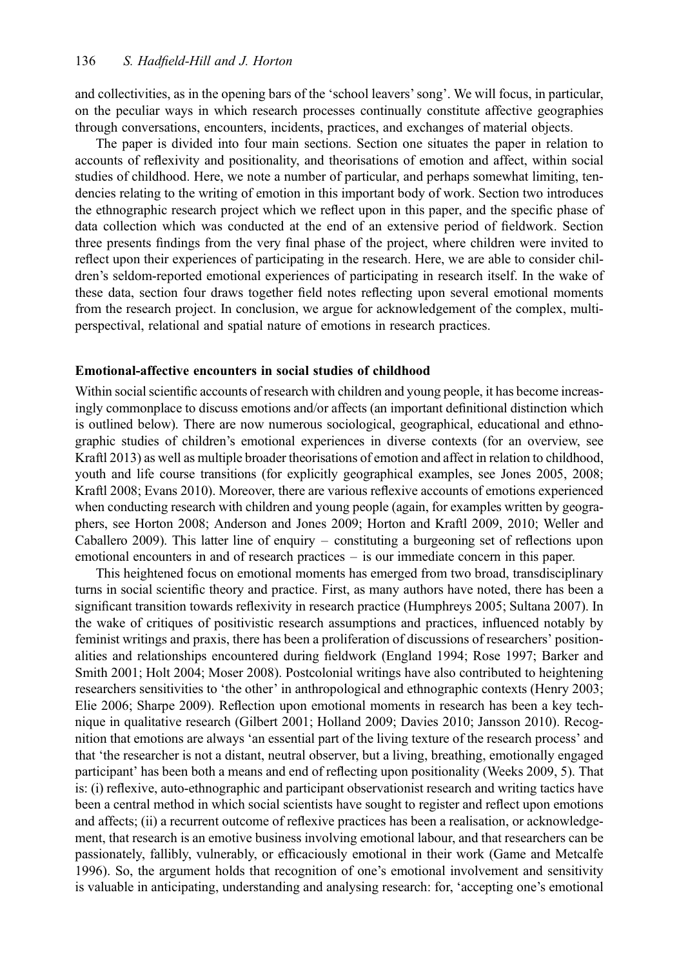and collectivities, as in the opening bars of the 'school leavers' song'. We will focus, in particular, on the peculiar ways in which research processes continually constitute affective geographies through conversations, encounters, incidents, practices, and exchanges of material objects.

The paper is divided into four main sections. Section one situates the paper in relation to accounts of reflexivity and positionality, and theorisations of emotion and affect, within social studies of childhood. Here, we note a number of particular, and perhaps somewhat limiting, tendencies relating to the writing of emotion in this important body of work. Section two introduces the ethnographic research project which we reflect upon in this paper, and the specific phase of data collection which was conducted at the end of an extensive period of fieldwork. Section three presents findings from the very final phase of the project, where children were invited to reflect upon their experiences of participating in the research. Here, we are able to consider children's seldom-reported emotional experiences of participating in research itself. In the wake of these data, section four draws together field notes reflecting upon several emotional moments from the research project. In conclusion, we argue for acknowledgement of the complex, multiperspectival, relational and spatial nature of emotions in research practices.

#### Emotional-affective encounters in social studies of childhood

Within social scientific accounts of research with children and young people, it has become increasingly commonplace to discuss emotions and/or affects (an important definitional distinction which is outlined below). There are now numerous sociological, geographical, educational and ethnographic studies of children's emotional experiences in diverse contexts (for an overview, see Kraftl 2013) as well as multiple broader theorisations of emotion and affect in relation to childhood, youth and life course transitions (for explicitly geographical examples, see Jones 2005, 2008; Kraftl 2008; Evans 2010). Moreover, there are various reflexive accounts of emotions experienced when conducting research with children and young people (again, for examples written by geographers, see Horton 2008; Anderson and Jones 2009; Horton and Kraftl 2009, 2010; Weller and Caballero 2009). This latter line of enquiry – constituting a burgeoning set of reflections upon emotional encounters in and of research practices – is our immediate concern in this paper.

This heightened focus on emotional moments has emerged from two broad, transdisciplinary turns in social scientific theory and practice. First, as many authors have noted, there has been a significant transition towards reflexivity in research practice (Humphreys 2005; Sultana 2007). In the wake of critiques of positivistic research assumptions and practices, influenced notably by feminist writings and praxis, there has been a proliferation of discussions of researchers' positionalities and relationships encountered during fieldwork (England 1994; Rose 1997; Barker and Smith 2001; Holt 2004; Moser 2008). Postcolonial writings have also contributed to heightening researchers sensitivities to 'the other' in anthropological and ethnographic contexts (Henry 2003; Elie 2006; Sharpe 2009). Reflection upon emotional moments in research has been a key technique in qualitative research (Gilbert 2001; Holland 2009; Davies 2010; Jansson 2010). Recognition that emotions are always 'an essential part of the living texture of the research process' and that 'the researcher is not a distant, neutral observer, but a living, breathing, emotionally engaged participant' has been both a means and end of reflecting upon positionality (Weeks 2009, 5). That is: (i) reflexive, auto-ethnographic and participant observationist research and writing tactics have been a central method in which social scientists have sought to register and reflect upon emotions and affects; (ii) a recurrent outcome of reflexive practices has been a realisation, or acknowledgement, that research is an emotive business involving emotional labour, and that researchers can be passionately, fallibly, vulnerably, or efficaciously emotional in their work (Game and Metcalfe 1996). So, the argument holds that recognition of one's emotional involvement and sensitivity is valuable in anticipating, understanding and analysing research: for, 'accepting one's emotional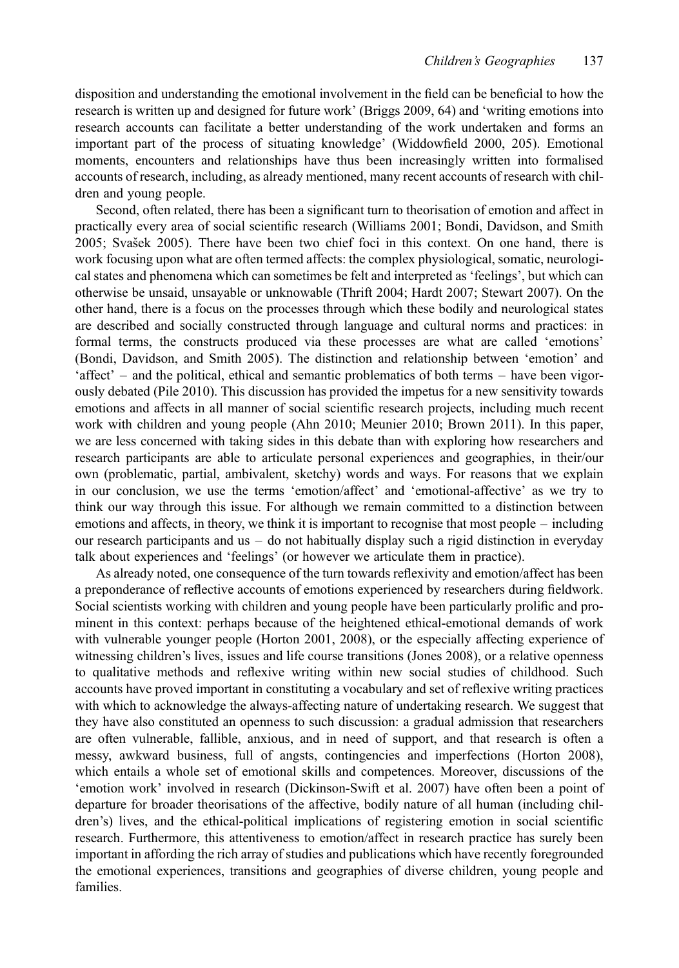disposition and understanding the emotional involvement in the field can be beneficial to how the research is written up and designed for future work' (Briggs 2009, 64) and 'writing emotions into research accounts can facilitate a better understanding of the work undertaken and forms an important part of the process of situating knowledge' (Widdowfield 2000, 205). Emotional moments, encounters and relationships have thus been increasingly written into formalised accounts of research, including, as already mentioned, many recent accounts of research with children and young people.

Second, often related, there has been a significant turn to theorisation of emotion and affect in practically every area of social scientific research (Williams 2001; Bondi, Davidson, and Smith 2005; Svašek 2005). There have been two chief foci in this context. On one hand, there is work focusing upon what are often termed affects: the complex physiological, somatic, neurological states and phenomena which can sometimes be felt and interpreted as 'feelings', but which can otherwise be unsaid, unsayable or unknowable (Thrift 2004; Hardt 2007; Stewart 2007). On the other hand, there is a focus on the processes through which these bodily and neurological states are described and socially constructed through language and cultural norms and practices: in formal terms, the constructs produced via these processes are what are called 'emotions' (Bondi, Davidson, and Smith 2005). The distinction and relationship between 'emotion' and 'affect' – and the political, ethical and semantic problematics of both terms – have been vigorously debated (Pile 2010). This discussion has provided the impetus for a new sensitivity towards emotions and affects in all manner of social scientific research projects, including much recent work with children and young people (Ahn 2010; Meunier 2010; Brown 2011). In this paper, we are less concerned with taking sides in this debate than with exploring how researchers and research participants are able to articulate personal experiences and geographies, in their/our own (problematic, partial, ambivalent, sketchy) words and ways. For reasons that we explain in our conclusion, we use the terms 'emotion/affect' and 'emotional-affective' as we try to think our way through this issue. For although we remain committed to a distinction between emotions and affects, in theory, we think it is important to recognise that most people – including our research participants and us – do not habitually display such a rigid distinction in everyday talk about experiences and 'feelings' (or however we articulate them in practice).

As already noted, one consequence of the turn towards reflexivity and emotion/affect has been a preponderance of reflective accounts of emotions experienced by researchers during fieldwork. Social scientists working with children and young people have been particularly prolific and prominent in this context: perhaps because of the heightened ethical-emotional demands of work with vulnerable younger people (Horton 2001, 2008), or the especially affecting experience of witnessing children's lives, issues and life course transitions (Jones 2008), or a relative openness to qualitative methods and reflexive writing within new social studies of childhood. Such accounts have proved important in constituting a vocabulary and set of reflexive writing practices with which to acknowledge the always-affecting nature of undertaking research. We suggest that they have also constituted an openness to such discussion: a gradual admission that researchers are often vulnerable, fallible, anxious, and in need of support, and that research is often a messy, awkward business, full of angsts, contingencies and imperfections (Horton 2008), which entails a whole set of emotional skills and competences. Moreover, discussions of the 'emotion work' involved in research (Dickinson-Swift et al. 2007) have often been a point of departure for broader theorisations of the affective, bodily nature of all human (including children's) lives, and the ethical-political implications of registering emotion in social scientific research. Furthermore, this attentiveness to emotion/affect in research practice has surely been important in affording the rich array of studies and publications which have recently foregrounded the emotional experiences, transitions and geographies of diverse children, young people and families.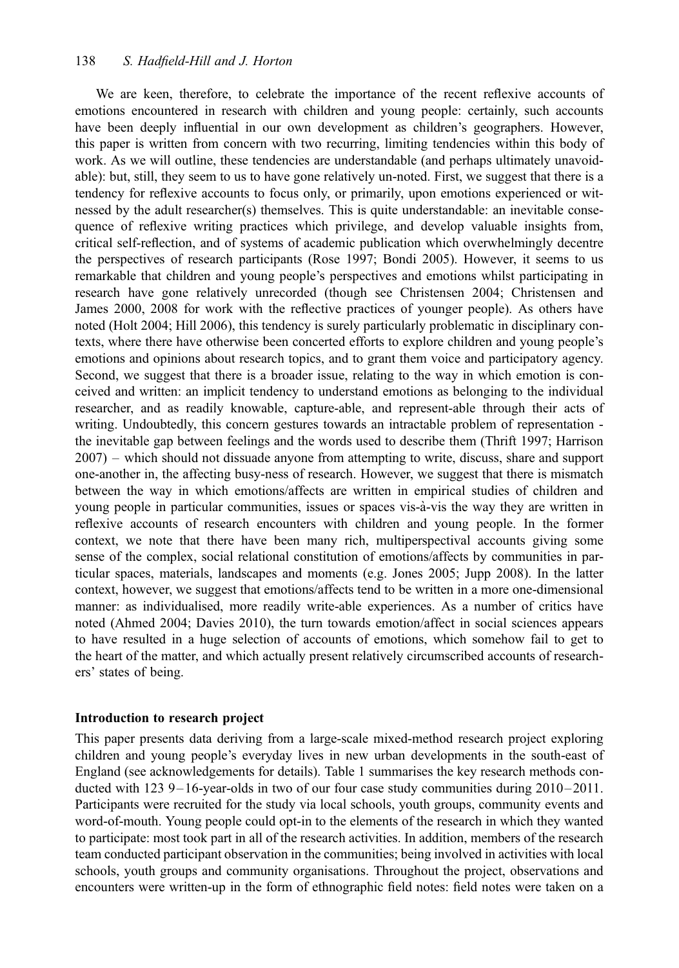We are keen, therefore, to celebrate the importance of the recent reflexive accounts of emotions encountered in research with children and young people: certainly, such accounts have been deeply influential in our own development as children's geographers. However, this paper is written from concern with two recurring, limiting tendencies within this body of work. As we will outline, these tendencies are understandable (and perhaps ultimately unavoidable): but, still, they seem to us to have gone relatively un-noted. First, we suggest that there is a tendency for reflexive accounts to focus only, or primarily, upon emotions experienced or witnessed by the adult researcher(s) themselves. This is quite understandable: an inevitable consequence of reflexive writing practices which privilege, and develop valuable insights from, critical self-reflection, and of systems of academic publication which overwhelmingly decentre the perspectives of research participants (Rose 1997; Bondi 2005). However, it seems to us remarkable that children and young people's perspectives and emotions whilst participating in research have gone relatively unrecorded (though see Christensen 2004; Christensen and James 2000, 2008 for work with the reflective practices of younger people). As others have noted (Holt 2004; Hill 2006), this tendency is surely particularly problematic in disciplinary contexts, where there have otherwise been concerted efforts to explore children and young people's emotions and opinions about research topics, and to grant them voice and participatory agency. Second, we suggest that there is a broader issue, relating to the way in which emotion is conceived and written: an implicit tendency to understand emotions as belonging to the individual researcher, and as readily knowable, capture-able, and represent-able through their acts of writing. Undoubtedly, this concern gestures towards an intractable problem of representation the inevitable gap between feelings and the words used to describe them (Thrift 1997; Harrison 2007) – which should not dissuade anyone from attempting to write, discuss, share and support one-another in, the affecting busy-ness of research. However, we suggest that there is mismatch between the way in which emotions/affects are written in empirical studies of children and young people in particular communities, issues or spaces vis-a`-vis the way they are written in reflexive accounts of research encounters with children and young people. In the former context, we note that there have been many rich, multiperspectival accounts giving some sense of the complex, social relational constitution of emotions/affects by communities in particular spaces, materials, landscapes and moments (e.g. Jones 2005; Jupp 2008). In the latter context, however, we suggest that emotions/affects tend to be written in a more one-dimensional manner: as individualised, more readily write-able experiences. As a number of critics have noted (Ahmed 2004; Davies 2010), the turn towards emotion/affect in social sciences appears to have resulted in a huge selection of accounts of emotions, which somehow fail to get to the heart of the matter, and which actually present relatively circumscribed accounts of researchers' states of being.

#### Introduction to research project

This paper presents data deriving from a large-scale mixed-method research project exploring children and young people's everyday lives in new urban developments in the south-east of England (see acknowledgements for details). Table 1 summarises the key research methods conducted with  $123$  9 $-16$ -year-olds in two of our four case study communities during  $2010-2011$ . Participants were recruited for the study via local schools, youth groups, community events and word-of-mouth. Young people could opt-in to the elements of the research in which they wanted to participate: most took part in all of the research activities. In addition, members of the research team conducted participant observation in the communities; being involved in activities with local schools, youth groups and community organisations. Throughout the project, observations and encounters were written-up in the form of ethnographic field notes: field notes were taken on a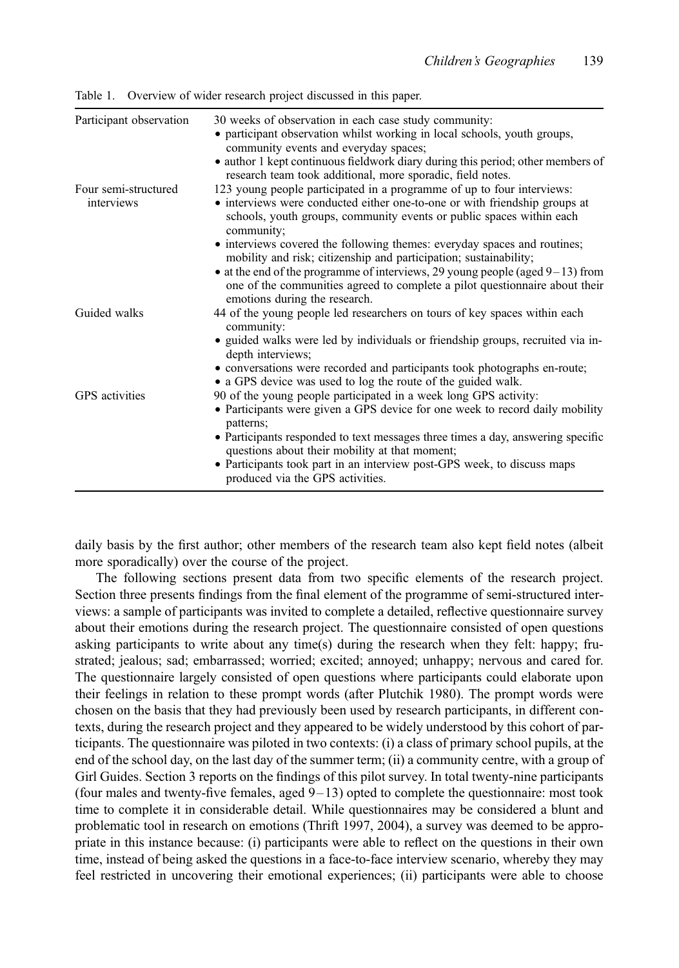| Participant observation | 30 weeks of observation in each case study community:                                                                                                                                                 |
|-------------------------|-------------------------------------------------------------------------------------------------------------------------------------------------------------------------------------------------------|
|                         | • participant observation whilst working in local schools, youth groups,<br>community events and everyday spaces;                                                                                     |
|                         | • author 1 kept continuous fieldwork diary during this period; other members of<br>research team took additional, more sporadic, field notes.                                                         |
| Four semi-structured    | 123 young people participated in a programme of up to four interviews:                                                                                                                                |
| interviews              | • interviews were conducted either one-to-one or with friendship groups at<br>schools, youth groups, community events or public spaces within each<br>community;                                      |
|                         | • interviews covered the following themes: everyday spaces and routines;<br>mobility and risk; citizenship and participation; sustainability;                                                         |
|                         | $\bullet$ at the end of the programme of interviews, 29 young people (aged 9-13) from<br>one of the communities agreed to complete a pilot questionnaire about their<br>emotions during the research. |
| Guided walks            | 44 of the young people led researchers on tours of key spaces within each<br>community:                                                                                                               |
|                         | • guided walks were led by individuals or friendship groups, recruited via in-<br>depth interviews;                                                                                                   |
|                         | • conversations were recorded and participants took photographs en-route;<br>• a GPS device was used to log the route of the guided walk.                                                             |
| <b>GPS</b> activities   | 90 of the young people participated in a week long GPS activity:                                                                                                                                      |
|                         | • Participants were given a GPS device for one week to record daily mobility<br>patterns;                                                                                                             |
|                         | • Participants responded to text messages three times a day, answering specific<br>questions about their mobility at that moment;                                                                     |
|                         | • Participants took part in an interview post-GPS week, to discuss maps<br>produced via the GPS activities.                                                                                           |

Table 1. Overview of wider research project discussed in this paper.

daily basis by the first author; other members of the research team also kept field notes (albeit more sporadically) over the course of the project.

The following sections present data from two specific elements of the research project. Section three presents findings from the final element of the programme of semi-structured interviews: a sample of participants was invited to complete a detailed, reflective questionnaire survey about their emotions during the research project. The questionnaire consisted of open questions asking participants to write about any time(s) during the research when they felt: happy; frustrated; jealous; sad; embarrassed; worried; excited; annoyed; unhappy; nervous and cared for. The questionnaire largely consisted of open questions where participants could elaborate upon their feelings in relation to these prompt words (after Plutchik 1980). The prompt words were chosen on the basis that they had previously been used by research participants, in different contexts, during the research project and they appeared to be widely understood by this cohort of participants. The questionnaire was piloted in two contexts: (i) a class of primary school pupils, at the end of the school day, on the last day of the summer term; (ii) a community centre, with a group of Girl Guides. Section 3 reports on the findings of this pilot survey. In total twenty-nine participants (four males and twenty-five females, aged  $9-13$ ) opted to complete the questionnaire: most took time to complete it in considerable detail. While questionnaires may be considered a blunt and problematic tool in research on emotions (Thrift 1997, 2004), a survey was deemed to be appropriate in this instance because: (i) participants were able to reflect on the questions in their own time, instead of being asked the questions in a face-to-face interview scenario, whereby they may feel restricted in uncovering their emotional experiences; (ii) participants were able to choose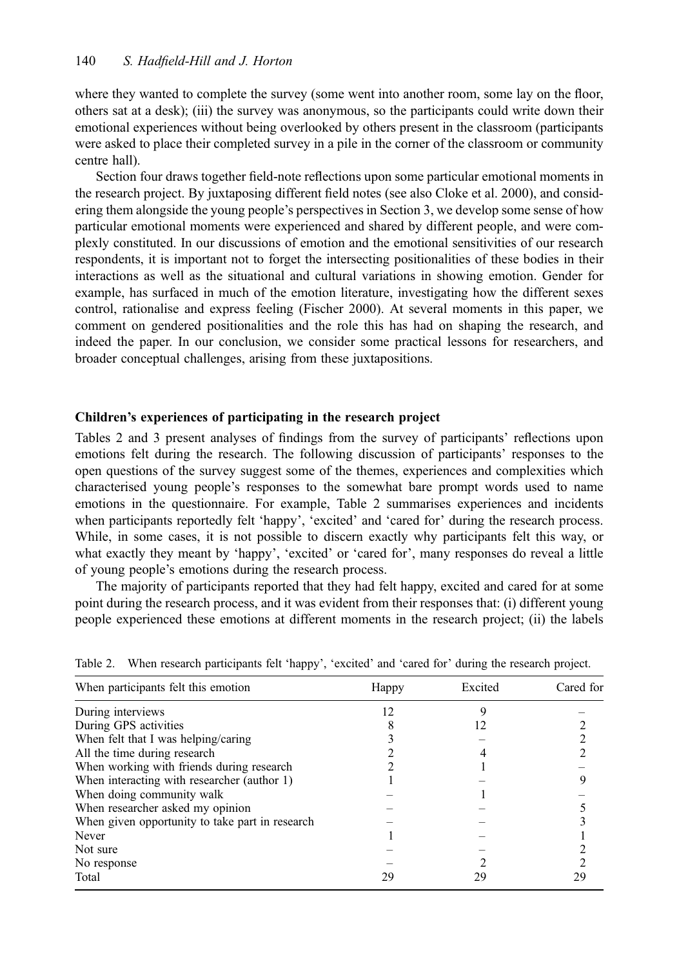where they wanted to complete the survey (some went into another room, some lay on the floor, others sat at a desk); (iii) the survey was anonymous, so the participants could write down their emotional experiences without being overlooked by others present in the classroom (participants were asked to place their completed survey in a pile in the corner of the classroom or community centre hall).

Section four draws together field-note reflections upon some particular emotional moments in the research project. By juxtaposing different field notes (see also Cloke et al. 2000), and considering them alongside the young people's perspectives in Section 3, we develop some sense of how particular emotional moments were experienced and shared by different people, and were complexly constituted. In our discussions of emotion and the emotional sensitivities of our research respondents, it is important not to forget the intersecting positionalities of these bodies in their interactions as well as the situational and cultural variations in showing emotion. Gender for example, has surfaced in much of the emotion literature, investigating how the different sexes control, rationalise and express feeling (Fischer 2000). At several moments in this paper, we comment on gendered positionalities and the role this has had on shaping the research, and indeed the paper. In our conclusion, we consider some practical lessons for researchers, and broader conceptual challenges, arising from these juxtapositions.

#### Children's experiences of participating in the research project

Tables 2 and 3 present analyses of findings from the survey of participants' reflections upon emotions felt during the research. The following discussion of participants' responses to the open questions of the survey suggest some of the themes, experiences and complexities which characterised young people's responses to the somewhat bare prompt words used to name emotions in the questionnaire. For example, Table 2 summarises experiences and incidents when participants reportedly felt 'happy', 'excited' and 'cared for' during the research process. While, in some cases, it is not possible to discern exactly why participants felt this way, or what exactly they meant by 'happy', 'excited' or 'cared for', many responses do reveal a little of young people's emotions during the research process.

The majority of participants reported that they had felt happy, excited and cared for at some point during the research process, and it was evident from their responses that: (i) different young people experienced these emotions at different moments in the research project; (ii) the labels

| When participants felt this emotion             | Happy | Excited | Cared for |  |
|-------------------------------------------------|-------|---------|-----------|--|
| During interviews                               | 12    |         |           |  |
| During GPS activities                           |       |         |           |  |
| When felt that I was helping/caring             |       |         |           |  |
| All the time during research                    |       |         |           |  |
| When working with friends during research       |       |         |           |  |
| When interacting with researcher (author 1)     |       |         |           |  |
| When doing community walk                       |       |         |           |  |
| When researcher asked my opinion                |       |         |           |  |
| When given opportunity to take part in research |       |         |           |  |
| Never                                           |       |         |           |  |
| Not sure                                        |       |         |           |  |
| No response                                     |       |         |           |  |
| Total                                           | 29    | 29      | 29        |  |

Table 2. When research participants felt 'happy', 'excited' and 'cared for' during the research project.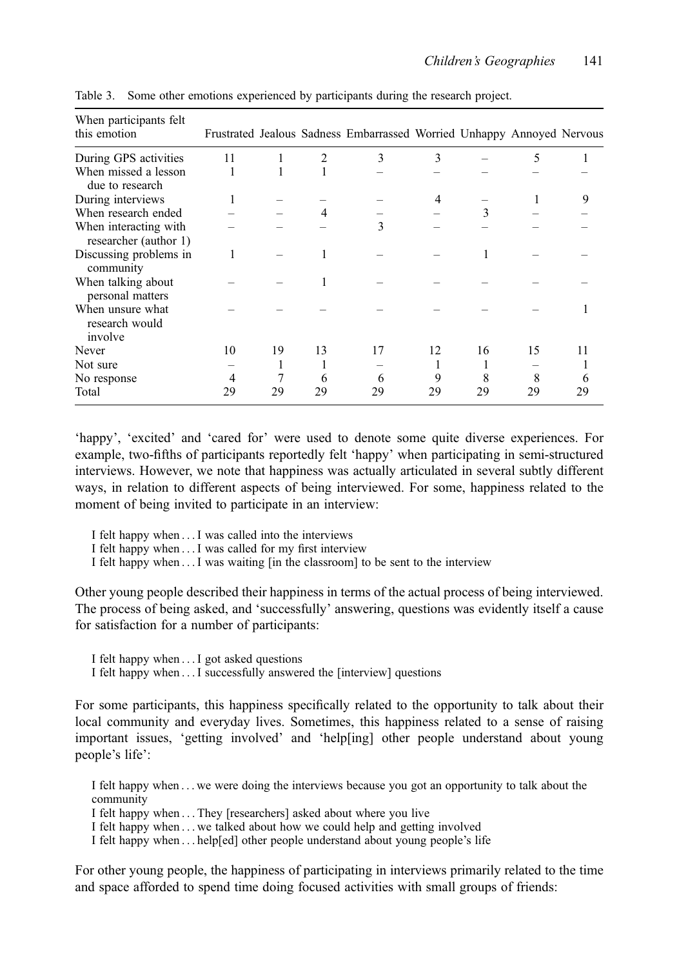| When participants felt<br>this emotion         |    |    |    | Frustrated Jealous Sadness Embarrassed Worried Unhappy Annoyed Nervous |    |    |    |    |
|------------------------------------------------|----|----|----|------------------------------------------------------------------------|----|----|----|----|
| During GPS activities                          | 11 |    | 2  | 3                                                                      | 3  |    | 5  |    |
| When missed a lesson<br>due to research        |    |    |    |                                                                        |    |    |    |    |
| During interviews                              | 1  |    |    |                                                                        | 4  |    |    |    |
| When research ended                            |    |    |    |                                                                        |    | 3  |    |    |
| When interacting with<br>researcher (author 1) |    |    |    | 3                                                                      |    |    |    |    |
| Discussing problems in<br>community            | 1  |    |    |                                                                        |    |    |    |    |
| When talking about<br>personal matters         |    |    |    |                                                                        |    |    |    |    |
| When unsure what<br>research would<br>involve  |    |    |    |                                                                        |    |    |    |    |
| <b>Never</b>                                   | 10 | 19 | 13 | 17                                                                     | 12 | 16 | 15 | 11 |
| Not sure                                       |    |    |    |                                                                        |    |    |    |    |
| No response                                    | 4  |    | 6  | 6                                                                      | 9  | 8  | 8  | O  |
| Total                                          | 29 | 29 | 29 | 29                                                                     | 29 | 29 | 29 | 29 |

Table 3. Some other emotions experienced by participants during the research project.

'happy', 'excited' and 'cared for' were used to denote some quite diverse experiences. For example, two-fifths of participants reportedly felt 'happy' when participating in semi-structured interviews. However, we note that happiness was actually articulated in several subtly different ways, in relation to different aspects of being interviewed. For some, happiness related to the moment of being invited to participate in an interview:

- I felt happy when ... I was called into the interviews
- I felt happy when ... I was called for my first interview
- I felt happy when ... I was waiting [in the classroom] to be sent to the interview

Other young people described their happiness in terms of the actual process of being interviewed. The process of being asked, and 'successfully' answering, questions was evidently itself a cause for satisfaction for a number of participants:

- I felt happy when ... I got asked questions
- I felt happy when ... I successfully answered the [interview] questions

For some participants, this happiness specifically related to the opportunity to talk about their local community and everyday lives. Sometimes, this happiness related to a sense of raising important issues, 'getting involved' and 'help[ing] other people understand about young people's life':

I felt happy when ... we were doing the interviews because you got an opportunity to talk about the community

I felt happy when ... They [researchers] asked about where you live

I felt happy when ... we talked about how we could help and getting involved

I felt happy when ... help[ed] other people understand about young people's life

For other young people, the happiness of participating in interviews primarily related to the time and space afforded to spend time doing focused activities with small groups of friends: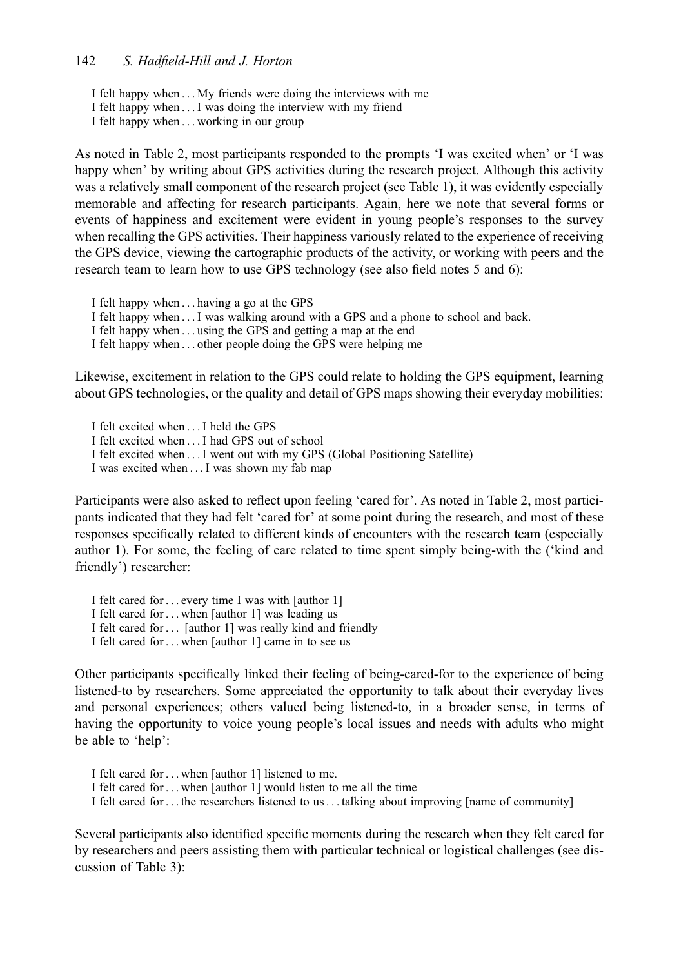- I felt happy when ... My friends were doing the interviews with me
- I felt happy when ... I was doing the interview with my friend
- I felt happy when ... working in our group

As noted in Table 2, most participants responded to the prompts 'I was excited when' or 'I was happy when' by writing about GPS activities during the research project. Although this activity was a relatively small component of the research project (see Table 1), it was evidently especially memorable and affecting for research participants. Again, here we note that several forms or events of happiness and excitement were evident in young people's responses to the survey when recalling the GPS activities. Their happiness variously related to the experience of receiving the GPS device, viewing the cartographic products of the activity, or working with peers and the research team to learn how to use GPS technology (see also field notes 5 and 6):

I felt happy when ... having a go at the GPS

- I felt happy when ... I was walking around with a GPS and a phone to school and back.
- I felt happy when ... using the GPS and getting a map at the end

I felt happy when ... other people doing the GPS were helping me

Likewise, excitement in relation to the GPS could relate to holding the GPS equipment, learning about GPS technologies, or the quality and detail of GPS maps showing their everyday mobilities:

I felt excited when ... I held the GPS

- I felt excited when ... I had GPS out of school
- I felt excited when ... I went out with my GPS (Global Positioning Satellite)
- I was excited when ... I was shown my fab map

Participants were also asked to reflect upon feeling 'cared for'. As noted in Table 2, most participants indicated that they had felt 'cared for' at some point during the research, and most of these responses specifically related to different kinds of encounters with the research team (especially author 1). For some, the feeling of care related to time spent simply being-with the ('kind and friendly') researcher:

I felt cared for ... every time I was with [author 1] I felt cared for ... when [author 1] was leading us I felt cared for ... [author 1] was really kind and friendly I felt cared for ... when [author 1] came in to see us

Other participants specifically linked their feeling of being-cared-for to the experience of being listened-to by researchers. Some appreciated the opportunity to talk about their everyday lives and personal experiences; others valued being listened-to, in a broader sense, in terms of having the opportunity to voice young people's local issues and needs with adults who might be able to 'help':

I felt cared for ... when [author 1] listened to me.

- I felt cared for ... when [author 1] would listen to me all the time
- I felt cared for ... the researchers listened to us... talking about improving [name of community]

Several participants also identified specific moments during the research when they felt cared for by researchers and peers assisting them with particular technical or logistical challenges (see discussion of Table 3):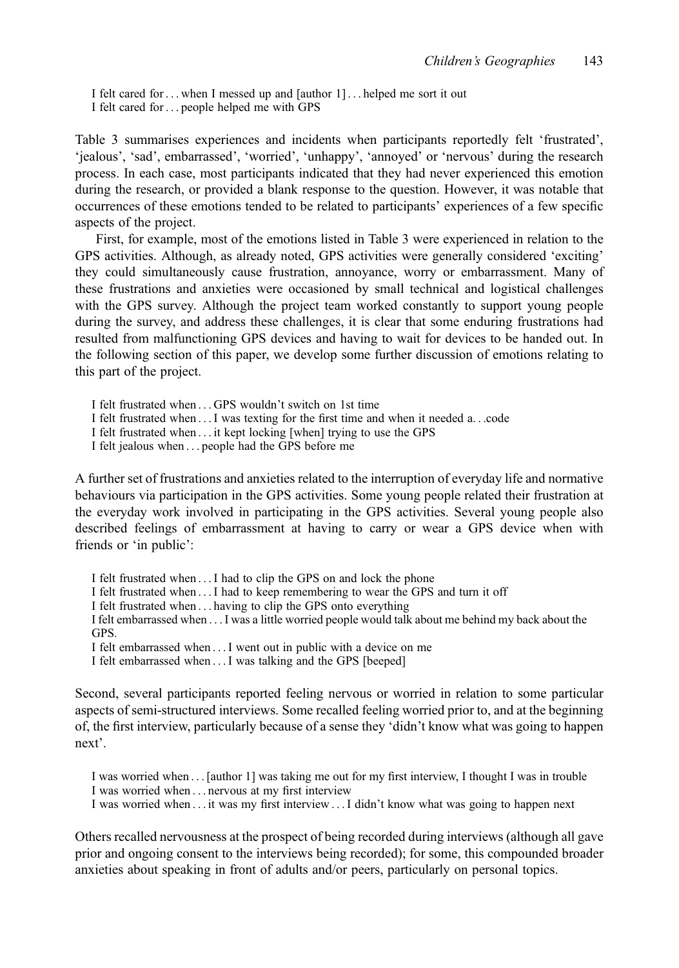I felt cared for ... when I messed up and [author 1] ... helped me sort it out I felt cared for ... people helped me with GPS

Table 3 summarises experiences and incidents when participants reportedly felt 'frustrated', 'jealous', 'sad', embarrassed', 'worried', 'unhappy', 'annoyed' or 'nervous' during the research process. In each case, most participants indicated that they had never experienced this emotion during the research, or provided a blank response to the question. However, it was notable that occurrences of these emotions tended to be related to participants' experiences of a few specific aspects of the project.

First, for example, most of the emotions listed in Table 3 were experienced in relation to the GPS activities. Although, as already noted, GPS activities were generally considered 'exciting' they could simultaneously cause frustration, annoyance, worry or embarrassment. Many of these frustrations and anxieties were occasioned by small technical and logistical challenges with the GPS survey. Although the project team worked constantly to support young people during the survey, and address these challenges, it is clear that some enduring frustrations had resulted from malfunctioning GPS devices and having to wait for devices to be handed out. In the following section of this paper, we develop some further discussion of emotions relating to this part of the project.

I felt frustrated when ... GPS wouldn't switch on 1st time

I felt frustrated when ... I was texting for the first time and when it needed a...code

I felt frustrated when ... it kept locking [when] trying to use the GPS

I felt jealous when ... people had the GPS before me

A further set of frustrations and anxieties related to the interruption of everyday life and normative behaviours via participation in the GPS activities. Some young people related their frustration at the everyday work involved in participating in the GPS activities. Several young people also described feelings of embarrassment at having to carry or wear a GPS device when with friends or 'in public':

I felt frustrated when ... I had to clip the GPS on and lock the phone

I felt frustrated when ... I had to keep remembering to wear the GPS and turn it off

I felt frustrated when ... having to clip the GPS onto everything

I felt embarrassed when ... I was a little worried people would talk about me behind my back about the GPS.

I felt embarrassed when ... I went out in public with a device on me

I felt embarrassed when ... I was talking and the GPS [beeped]

Second, several participants reported feeling nervous or worried in relation to some particular aspects of semi-structured interviews. Some recalled feeling worried prior to, and at the beginning of, the first interview, particularly because of a sense they 'didn't know what was going to happen next'.

I was worried when ... [author 1] was taking me out for my first interview, I thought I was in trouble I was worried when ... nervous at my first interview

I was worried when ... it was my first interview ... I didn't know what was going to happen next

Others recalled nervousness at the prospect of being recorded during interviews (although all gave prior and ongoing consent to the interviews being recorded); for some, this compounded broader anxieties about speaking in front of adults and/or peers, particularly on personal topics.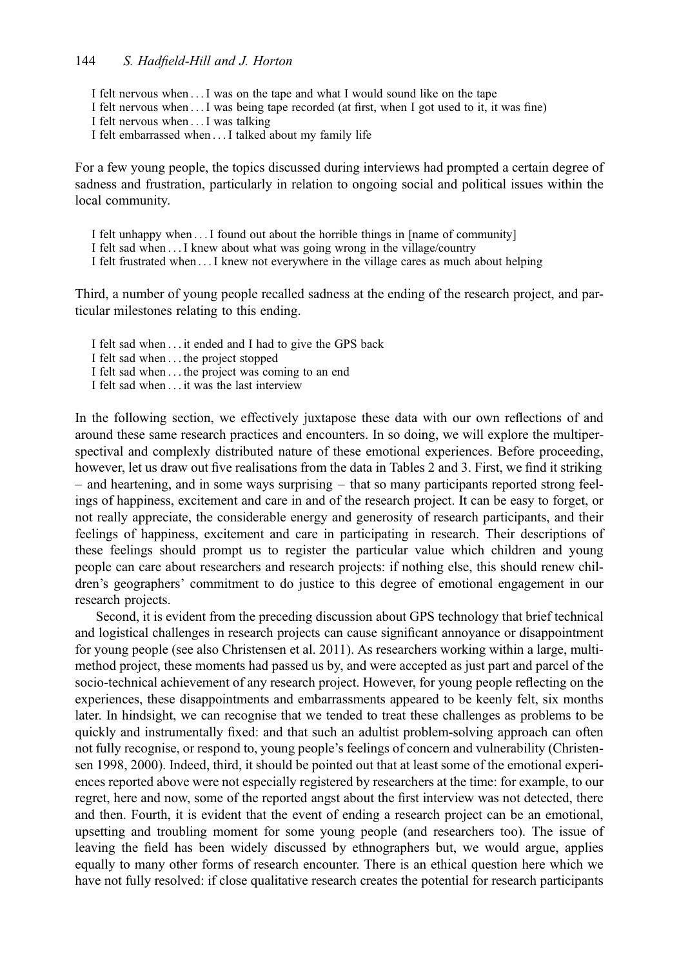- I felt nervous when ... I was on the tape and what I would sound like on the tape
- I felt nervous when ... I was being tape recorded (at first, when I got used to it, it was fine)
- I felt nervous when ... I was talking
- I felt embarrassed when ... I talked about my family life

For a few young people, the topics discussed during interviews had prompted a certain degree of sadness and frustration, particularly in relation to ongoing social and political issues within the local community.

- I felt unhappy when ... I found out about the horrible things in [name of community]
- I felt sad when ... I knew about what was going wrong in the village/country
- I felt frustrated when ... I knew not everywhere in the village cares as much about helping

Third, a number of young people recalled sadness at the ending of the research project, and particular milestones relating to this ending.

I felt sad when ... it ended and I had to give the GPS back

- I felt sad when ... the project stopped
- I felt sad when ... the project was coming to an end
- I felt sad when ... it was the last interview

In the following section, we effectively juxtapose these data with our own reflections of and around these same research practices and encounters. In so doing, we will explore the multiperspectival and complexly distributed nature of these emotional experiences. Before proceeding, however, let us draw out five realisations from the data in Tables 2 and 3. First, we find it striking – and heartening, and in some ways surprising – that so many participants reported strong feelings of happiness, excitement and care in and of the research project. It can be easy to forget, or not really appreciate, the considerable energy and generosity of research participants, and their feelings of happiness, excitement and care in participating in research. Their descriptions of these feelings should prompt us to register the particular value which children and young people can care about researchers and research projects: if nothing else, this should renew children's geographers' commitment to do justice to this degree of emotional engagement in our research projects.

Second, it is evident from the preceding discussion about GPS technology that brief technical and logistical challenges in research projects can cause significant annoyance or disappointment for young people (see also Christensen et al. 2011). As researchers working within a large, multimethod project, these moments had passed us by, and were accepted as just part and parcel of the socio-technical achievement of any research project. However, for young people reflecting on the experiences, these disappointments and embarrassments appeared to be keenly felt, six months later. In hindsight, we can recognise that we tended to treat these challenges as problems to be quickly and instrumentally fixed: and that such an adultist problem-solving approach can often not fully recognise, or respond to, young people's feelings of concern and vulnerability (Christensen 1998, 2000). Indeed, third, it should be pointed out that at least some of the emotional experiences reported above were not especially registered by researchers at the time: for example, to our regret, here and now, some of the reported angst about the first interview was not detected, there and then. Fourth, it is evident that the event of ending a research project can be an emotional, upsetting and troubling moment for some young people (and researchers too). The issue of leaving the field has been widely discussed by ethnographers but, we would argue, applies equally to many other forms of research encounter. There is an ethical question here which we have not fully resolved: if close qualitative research creates the potential for research participants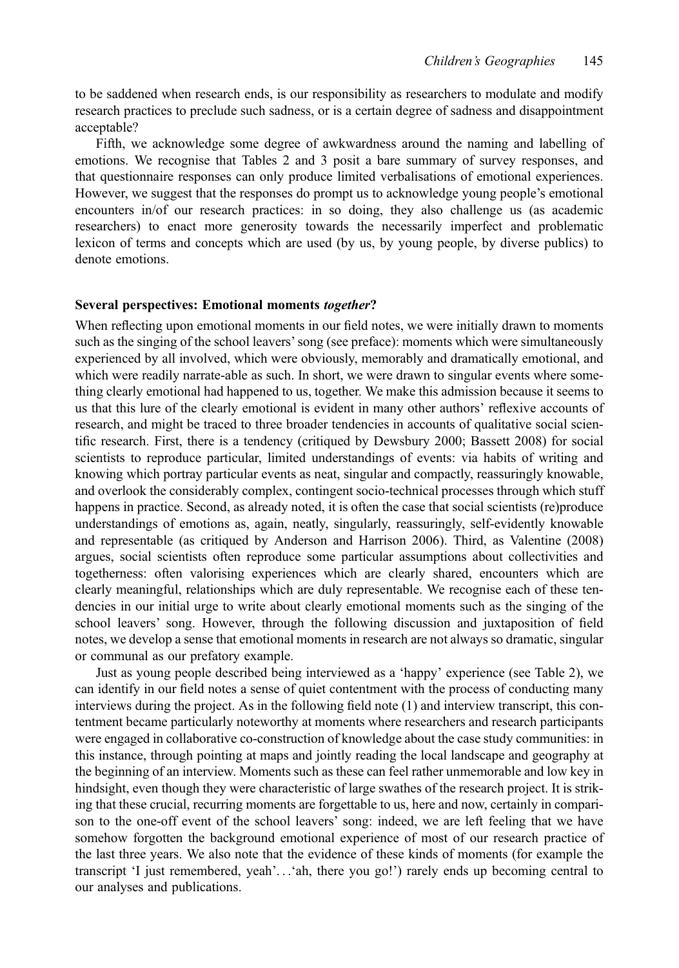to be saddened when research ends, is our responsibility as researchers to modulate and modify research practices to preclude such sadness, or is a certain degree of sadness and disappointment acceptable?

Fifth, we acknowledge some degree of awkwardness around the naming and labelling of emotions. We recognise that Tables 2 and 3 posit a bare summary of survey responses, and that questionnaire responses can only produce limited verbalisations of emotional experiences. However, we suggest that the responses do prompt us to acknowledge young people's emotional encounters in/of our research practices: in so doing, they also challenge us (as academic researchers) to enact more generosity towards the necessarily imperfect and problematic lexicon of terms and concepts which are used (by us, by young people, by diverse publics) to denote emotions.

#### Several perspectives: Emotional moments together?

When reflecting upon emotional moments in our field notes, we were initially drawn to moments such as the singing of the school leavers' song (see preface): moments which were simultaneously experienced by all involved, which were obviously, memorably and dramatically emotional, and which were readily narrate-able as such. In short, we were drawn to singular events where something clearly emotional had happened to us, together. We make this admission because it seems to us that this lure of the clearly emotional is evident in many other authors' reflexive accounts of research, and might be traced to three broader tendencies in accounts of qualitative social scientific research. First, there is a tendency (critiqued by Dewsbury 2000; Bassett 2008) for social scientists to reproduce particular, limited understandings of events: via habits of writing and knowing which portray particular events as neat, singular and compactly, reassuringly knowable, and overlook the considerably complex, contingent socio-technical processes through which stuff happens in practice. Second, as already noted, it is often the case that social scientists (re)produce understandings of emotions as, again, neatly, singularly, reassuringly, self-evidently knowable and representable (as critiqued by Anderson and Harrison 2006). Third, as Valentine (2008) argues, social scientists often reproduce some particular assumptions about collectivities and togetherness: often valorising experiences which are clearly shared, encounters which are clearly meaningful, relationships which are duly representable. We recognise each of these tendencies in our initial urge to write about clearly emotional moments such as the singing of the school leavers' song. However, through the following discussion and juxtaposition of field notes, we develop a sense that emotional moments in research are not always so dramatic, singular or communal as our prefatory example.

Just as young people described being interviewed as a 'happy' experience (see Table 2), we can identify in our field notes a sense of quiet contentment with the process of conducting many interviews during the project. As in the following field note (1) and interview transcript, this contentment became particularly noteworthy at moments where researchers and research participants were engaged in collaborative co-construction of knowledge about the case study communities: in this instance, through pointing at maps and jointly reading the local landscape and geography at the beginning of an interview. Moments such as these can feel rather unmemorable and low key in hindsight, even though they were characteristic of large swathes of the research project. It is striking that these crucial, recurring moments are forgettable to us, here and now, certainly in comparison to the one-off event of the school leavers' song: indeed, we are left feeling that we have somehow forgotten the background emotional experience of most of our research practice of the last three years. We also note that the evidence of these kinds of moments (for example the transcript 'I just remembered, yeah'...'ah, there you go!') rarely ends up becoming central to our analyses and publications.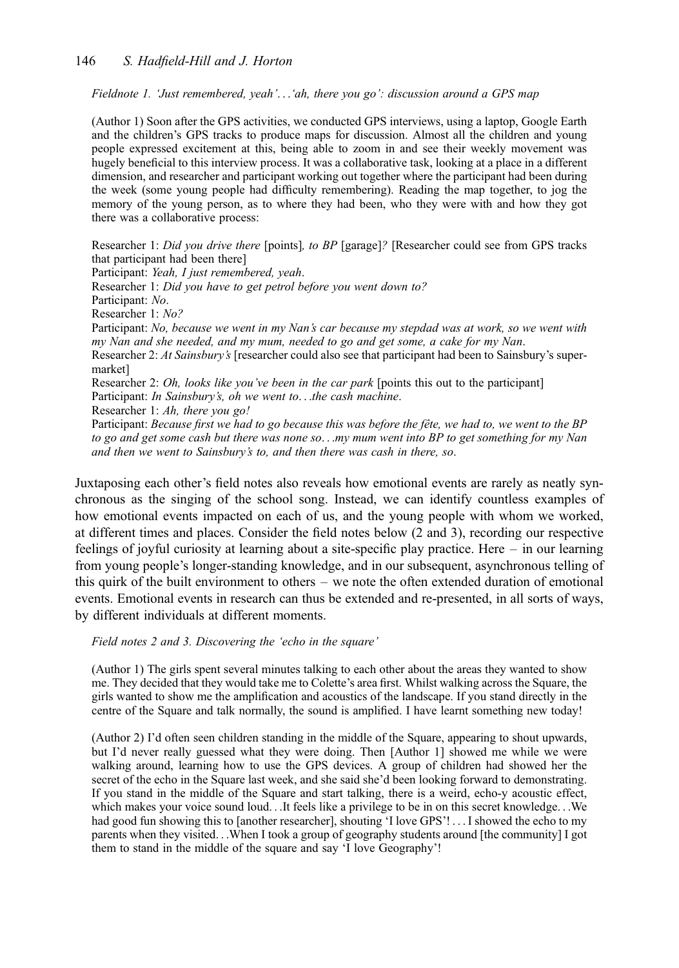#### 146 S. Hadfield-Hill and J. Horton

Fieldnote 1. 'Just remembered, yeah'...'ah, there you go': discussion around a GPS map

(Author 1) Soon after the GPS activities, we conducted GPS interviews, using a laptop, Google Earth and the children's GPS tracks to produce maps for discussion. Almost all the children and young people expressed excitement at this, being able to zoom in and see their weekly movement was hugely beneficial to this interview process. It was a collaborative task, looking at a place in a different dimension, and researcher and participant working out together where the participant had been during the week (some young people had difficulty remembering). Reading the map together, to jog the memory of the young person, as to where they had been, who they were with and how they got there was a collaborative process:

Researcher 1: Did you drive there [points], to BP [garage]? [Researcher could see from GPS tracks that participant had been there] Participant: Yeah, I just remembered, yeah. Researcher 1: Did you have to get petrol before you went down to? Participant: No. Researcher 1: No? Participant: No, because we went in my Nan's car because my stepdad was at work, so we went with my Nan and she needed, and my mum, needed to go and get some, a cake for my Nan. Researcher 2: At Sainsbury's [researcher could also see that participant had been to Sainsbury's supermarket] Researcher 2: Oh, looks like you've been in the car park [points this out to the participant] Participant: In Sainsbury's, oh we went to...the cash machine. Researcher 1: Ah, there you go! Participant: Because first we had to go because this was before the fête, we had to, we went to the BP to go and get some cash but there was none so...my mum went into BP to get something for my Nan and then we went to Sainsbury's to, and then there was cash in there, so.

Juxtaposing each other's field notes also reveals how emotional events are rarely as neatly synchronous as the singing of the school song. Instead, we can identify countless examples of how emotional events impacted on each of us, and the young people with whom we worked, at different times and places. Consider the field notes below (2 and 3), recording our respective feelings of joyful curiosity at learning about a site-specific play practice. Here – in our learning from young people's longer-standing knowledge, and in our subsequent, asynchronous telling of this quirk of the built environment to others – we note the often extended duration of emotional events. Emotional events in research can thus be extended and re-presented, in all sorts of ways, by different individuals at different moments.

Field notes 2 and 3. Discovering the 'echo in the square'

(Author 1) The girls spent several minutes talking to each other about the areas they wanted to show me. They decided that they would take me to Colette's area first. Whilst walking across the Square, the girls wanted to show me the amplification and acoustics of the landscape. If you stand directly in the centre of the Square and talk normally, the sound is amplified. I have learnt something new today!

(Author 2) I'd often seen children standing in the middle of the Square, appearing to shout upwards, but I'd never really guessed what they were doing. Then [Author 1] showed me while we were walking around, learning how to use the GPS devices. A group of children had showed her the secret of the echo in the Square last week, and she said she'd been looking forward to demonstrating. If you stand in the middle of the Square and start talking, there is a weird, echo-y acoustic effect, which makes your voice sound loud...It feels like a privilege to be in on this secret knowledge...We had good fun showing this to [another researcher], shouting 'I love GPS'! ... I showed the echo to my parents when they visited...When I took a group of geography students around [the community] I got them to stand in the middle of the square and say 'I love Geography'!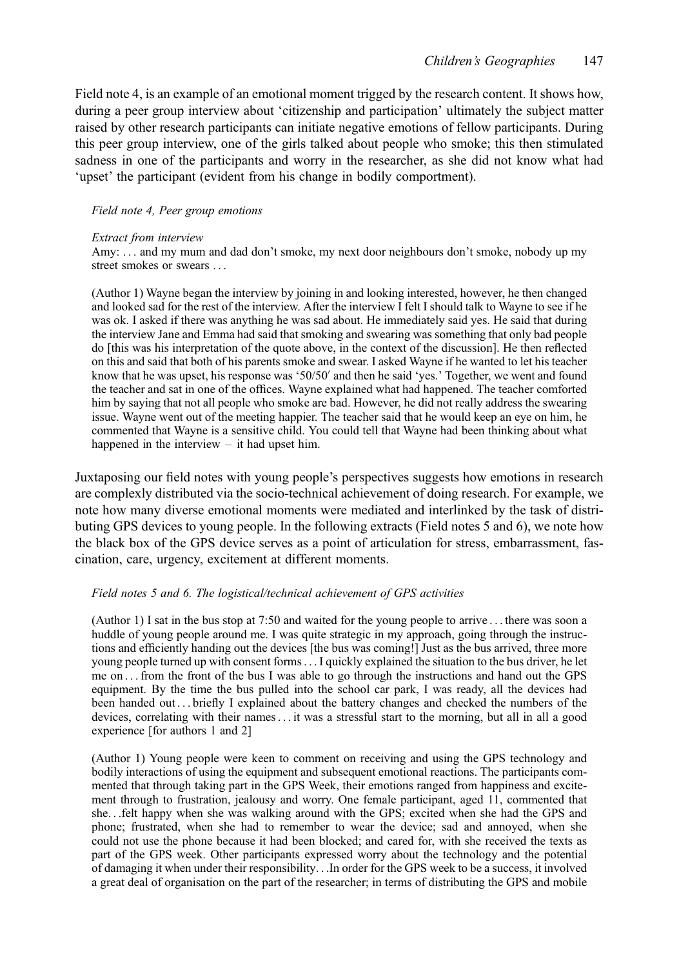Field note 4, is an example of an emotional moment trigged by the research content. It shows how, during a peer group interview about 'citizenship and participation' ultimately the subject matter raised by other research participants can initiate negative emotions of fellow participants. During this peer group interview, one of the girls talked about people who smoke; this then stimulated sadness in one of the participants and worry in the researcher, as she did not know what had 'upset' the participant (evident from his change in bodily comportment).

#### Field note 4, Peer group emotions

#### Extract from interview

Amy: ... and my mum and dad don't smoke, my next door neighbours don't smoke, nobody up my street smokes or swears ...

(Author 1) Wayne began the interview by joining in and looking interested, however, he then changed and looked sad for the rest of the interview. After the interview I felt I should talk to Wayne to see if he was ok. I asked if there was anything he was sad about. He immediately said yes. He said that during the interview Jane and Emma had said that smoking and swearing was something that only bad people do [this was his interpretation of the quote above, in the context of the discussion]. He then reflected on this and said that both of his parents smoke and swear. I asked Wayne if he wanted to let his teacher know that he was upset, his response was '50/50′ and then he said 'yes.' Together, we went and found the teacher and sat in one of the offices. Wayne explained what had happened. The teacher comforted him by saying that not all people who smoke are bad. However, he did not really address the swearing issue. Wayne went out of the meeting happier. The teacher said that he would keep an eye on him, he commented that Wayne is a sensitive child. You could tell that Wayne had been thinking about what happened in the interview – it had upset him.

Juxtaposing our field notes with young people's perspectives suggests how emotions in research are complexly distributed via the socio-technical achievement of doing research. For example, we note how many diverse emotional moments were mediated and interlinked by the task of distributing GPS devices to young people. In the following extracts (Field notes 5 and 6), we note how the black box of the GPS device serves as a point of articulation for stress, embarrassment, fascination, care, urgency, excitement at different moments.

#### Field notes 5 and 6. The logistical/technical achievement of GPS activities

(Author 1) I sat in the bus stop at 7:50 and waited for the young people to arrive ... there was soon a huddle of young people around me. I was quite strategic in my approach, going through the instructions and efficiently handing out the devices [the bus was coming!] Just as the bus arrived, three more young people turned up with consent forms... I quickly explained the situation to the bus driver, he let me on ... from the front of the bus I was able to go through the instructions and hand out the GPS equipment. By the time the bus pulled into the school car park, I was ready, all the devices had been handed out ... briefly I explained about the battery changes and checked the numbers of the devices, correlating with their names... it was a stressful start to the morning, but all in all a good experience [for authors 1 and 2]

(Author 1) Young people were keen to comment on receiving and using the GPS technology and bodily interactions of using the equipment and subsequent emotional reactions. The participants commented that through taking part in the GPS Week, their emotions ranged from happiness and excitement through to frustration, jealousy and worry. One female participant, aged 11, commented that she...felt happy when she was walking around with the GPS; excited when she had the GPS and phone; frustrated, when she had to remember to wear the device; sad and annoyed, when she could not use the phone because it had been blocked; and cared for, with she received the texts as part of the GPS week. Other participants expressed worry about the technology and the potential of damaging it when under their responsibility...In order for the GPS week to be a success, it involved a great deal of organisation on the part of the researcher; in terms of distributing the GPS and mobile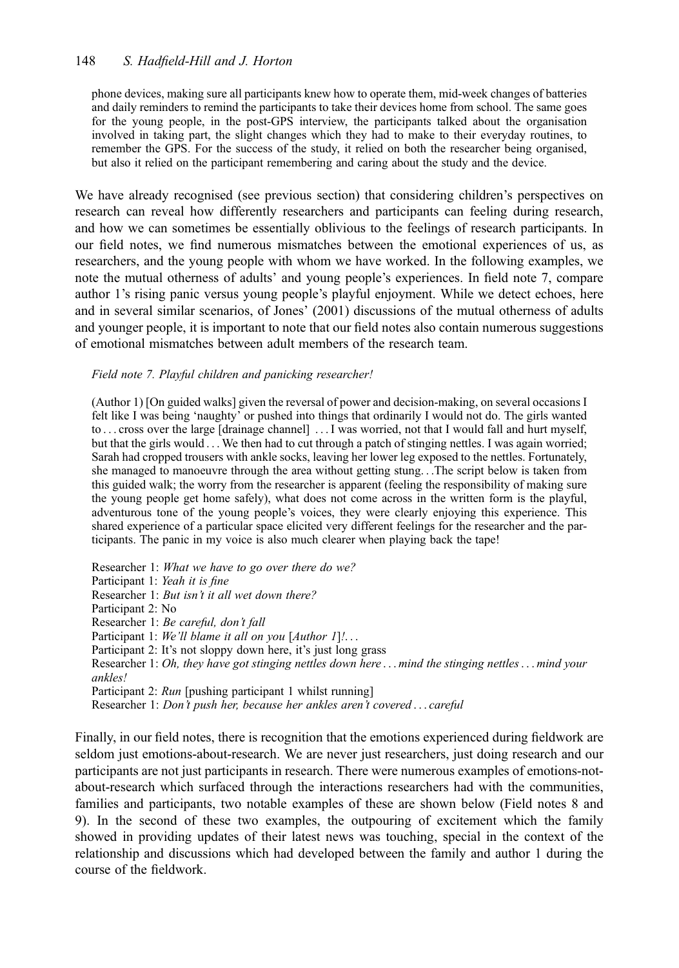#### 148 S. Hadfield-Hill and J. Horton

phone devices, making sure all participants knew how to operate them, mid-week changes of batteries and daily reminders to remind the participants to take their devices home from school. The same goes for the young people, in the post-GPS interview, the participants talked about the organisation involved in taking part, the slight changes which they had to make to their everyday routines, to remember the GPS. For the success of the study, it relied on both the researcher being organised, but also it relied on the participant remembering and caring about the study and the device.

We have already recognised (see previous section) that considering children's perspectives on research can reveal how differently researchers and participants can feeling during research, and how we can sometimes be essentially oblivious to the feelings of research participants. In our field notes, we find numerous mismatches between the emotional experiences of us, as researchers, and the young people with whom we have worked. In the following examples, we note the mutual otherness of adults' and young people's experiences. In field note 7, compare author 1's rising panic versus young people's playful enjoyment. While we detect echoes, here and in several similar scenarios, of Jones' (2001) discussions of the mutual otherness of adults and younger people, it is important to note that our field notes also contain numerous suggestions of emotional mismatches between adult members of the research team.

#### Field note 7. Playful children and panicking researcher!

(Author 1) [On guided walks] given the reversal of power and decision-making, on several occasions I felt like I was being 'naughty' or pushed into things that ordinarily I would not do. The girls wanted to ... cross over the large [drainage channel] ... I was worried, not that I would fall and hurt myself, but that the girls would ... We then had to cut through a patch of stinging nettles. I was again worried; Sarah had cropped trousers with ankle socks, leaving her lower leg exposed to the nettles. Fortunately, she managed to manoeuvre through the area without getting stung...The script below is taken from this guided walk; the worry from the researcher is apparent (feeling the responsibility of making sure the young people get home safely), what does not come across in the written form is the playful, adventurous tone of the young people's voices, they were clearly enjoying this experience. This shared experience of a particular space elicited very different feelings for the researcher and the participants. The panic in my voice is also much clearer when playing back the tape!

Researcher 1: What we have to go over there do we? Participant 1: Yeah it is fine Researcher 1: But isn't it all wet down there? Participant 2: No Researcher 1: Be careful, don't fall Participant 1: We'll blame it all on you [Author 1]!... Participant 2: It's not sloppy down here, it's just long grass Researcher 1: Oh, they have got stinging nettles down here ... mind the stinging nettles... mind your ankles! Participant 2: Run [pushing participant 1 whilst running] Researcher 1: Don't push her, because her ankles aren't covered ... careful

Finally, in our field notes, there is recognition that the emotions experienced during fieldwork are seldom just emotions-about-research. We are never just researchers, just doing research and our participants are not just participants in research. There were numerous examples of emotions-notabout-research which surfaced through the interactions researchers had with the communities, families and participants, two notable examples of these are shown below (Field notes 8 and 9). In the second of these two examples, the outpouring of excitement which the family showed in providing updates of their latest news was touching, special in the context of the relationship and discussions which had developed between the family and author 1 during the course of the fieldwork.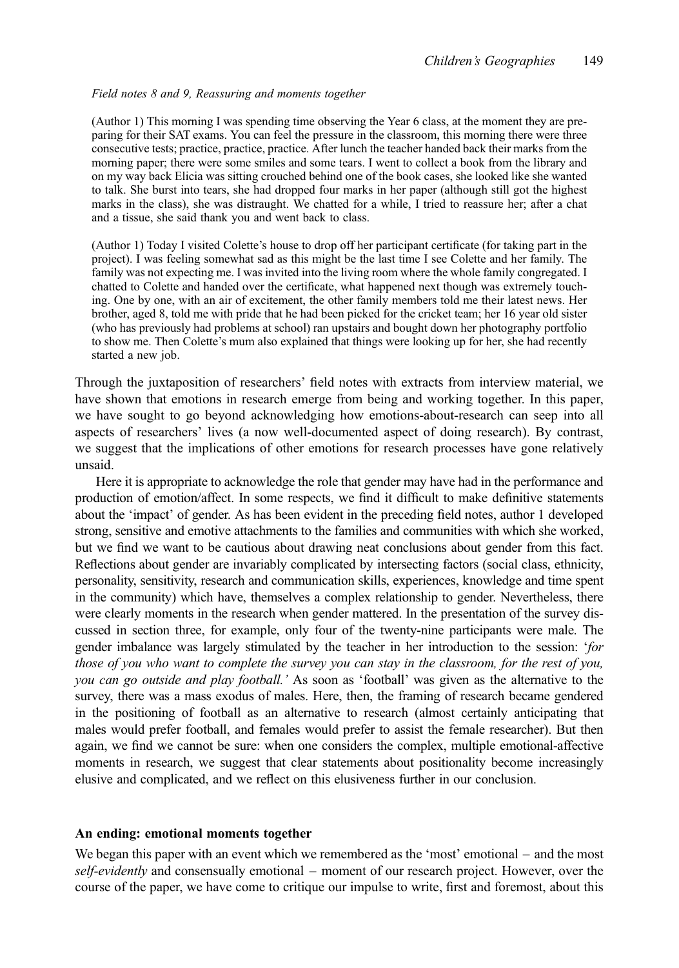#### Field notes 8 and 9, Reassuring and moments together

(Author 1) This morning I was spending time observing the Year 6 class, at the moment they are preparing for their SAT exams. You can feel the pressure in the classroom, this morning there were three consecutive tests; practice, practice, practice. After lunch the teacher handed back their marks from the morning paper; there were some smiles and some tears. I went to collect a book from the library and on my way back Elicia was sitting crouched behind one of the book cases, she looked like she wanted to talk. She burst into tears, she had dropped four marks in her paper (although still got the highest marks in the class), she was distraught. We chatted for a while, I tried to reassure her; after a chat and a tissue, she said thank you and went back to class.

(Author 1) Today I visited Colette's house to drop off her participant certificate (for taking part in the project). I was feeling somewhat sad as this might be the last time I see Colette and her family. The family was not expecting me. I was invited into the living room where the whole family congregated. I chatted to Colette and handed over the certificate, what happened next though was extremely touching. One by one, with an air of excitement, the other family members told me their latest news. Her brother, aged 8, told me with pride that he had been picked for the cricket team; her 16 year old sister (who has previously had problems at school) ran upstairs and bought down her photography portfolio to show me. Then Colette's mum also explained that things were looking up for her, she had recently started a new job.

Through the juxtaposition of researchers' field notes with extracts from interview material, we have shown that emotions in research emerge from being and working together. In this paper, we have sought to go beyond acknowledging how emotions-about-research can seep into all aspects of researchers' lives (a now well-documented aspect of doing research). By contrast, we suggest that the implications of other emotions for research processes have gone relatively unsaid.

Here it is appropriate to acknowledge the role that gender may have had in the performance and production of emotion/affect. In some respects, we find it difficult to make definitive statements about the 'impact' of gender. As has been evident in the preceding field notes, author 1 developed strong, sensitive and emotive attachments to the families and communities with which she worked, but we find we want to be cautious about drawing neat conclusions about gender from this fact. Reflections about gender are invariably complicated by intersecting factors (social class, ethnicity, personality, sensitivity, research and communication skills, experiences, knowledge and time spent in the community) which have, themselves a complex relationship to gender. Nevertheless, there were clearly moments in the research when gender mattered. In the presentation of the survey discussed in section three, for example, only four of the twenty-nine participants were male. The gender imbalance was largely stimulated by the teacher in her introduction to the session: 'for those of you who want to complete the survey you can stay in the classroom, for the rest of you, you can go outside and play football.' As soon as 'football' was given as the alternative to the survey, there was a mass exodus of males. Here, then, the framing of research became gendered in the positioning of football as an alternative to research (almost certainly anticipating that males would prefer football, and females would prefer to assist the female researcher). But then again, we find we cannot be sure: when one considers the complex, multiple emotional-affective moments in research, we suggest that clear statements about positionality become increasingly elusive and complicated, and we reflect on this elusiveness further in our conclusion.

#### An ending: emotional moments together

We began this paper with an event which we remembered as the 'most' emotional – and the most self-evidently and consensually emotional – moment of our research project. However, over the course of the paper, we have come to critique our impulse to write, first and foremost, about this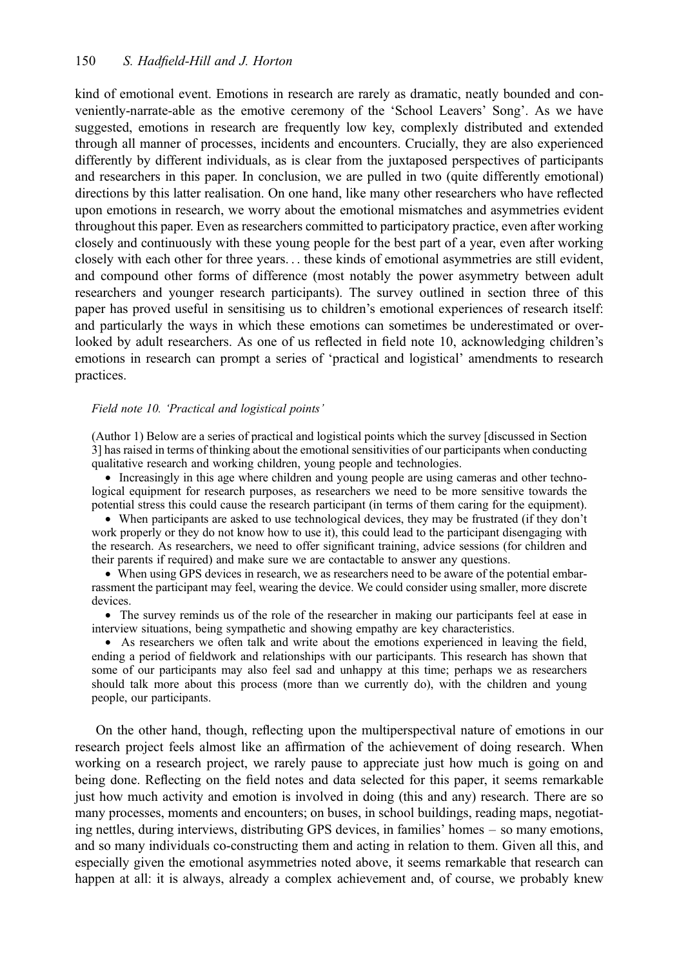kind of emotional event. Emotions in research are rarely as dramatic, neatly bounded and conveniently-narrate-able as the emotive ceremony of the 'School Leavers' Song'. As we have suggested, emotions in research are frequently low key, complexly distributed and extended through all manner of processes, incidents and encounters. Crucially, they are also experienced differently by different individuals, as is clear from the juxtaposed perspectives of participants and researchers in this paper. In conclusion, we are pulled in two (quite differently emotional) directions by this latter realisation. On one hand, like many other researchers who have reflected upon emotions in research, we worry about the emotional mismatches and asymmetries evident throughout this paper. Even as researchers committed to participatory practice, even after working closely and continuously with these young people for the best part of a year, even after working closely with each other for three years... these kinds of emotional asymmetries are still evident, and compound other forms of difference (most notably the power asymmetry between adult researchers and younger research participants). The survey outlined in section three of this paper has proved useful in sensitising us to children's emotional experiences of research itself: and particularly the ways in which these emotions can sometimes be underestimated or overlooked by adult researchers. As one of us reflected in field note 10, acknowledging children's emotions in research can prompt a series of 'practical and logistical' amendments to research practices.

#### Field note 10. 'Practical and logistical points'

(Author 1) Below are a series of practical and logistical points which the survey [discussed in Section 3] has raised in terms of thinking about the emotional sensitivities of our participants when conducting qualitative research and working children, young people and technologies.

• Increasingly in this age where children and young people are using cameras and other technological equipment for research purposes, as researchers we need to be more sensitive towards the potential stress this could cause the research participant (in terms of them caring for the equipment).

• When participants are asked to use technological devices, they may be frustrated (if they don't work properly or they do not know how to use it), this could lead to the participant disengaging with the research. As researchers, we need to offer significant training, advice sessions (for children and their parents if required) and make sure we are contactable to answer any questions.

• When using GPS devices in research, we as researchers need to be aware of the potential embarrassment the participant may feel, wearing the device. We could consider using smaller, more discrete devices.

• The survey reminds us of the role of the researcher in making our participants feel at ease in interview situations, being sympathetic and showing empathy are key characteristics.

† As researchers we often talk and write about the emotions experienced in leaving the field, ending a period of fieldwork and relationships with our participants. This research has shown that some of our participants may also feel sad and unhappy at this time; perhaps we as researchers should talk more about this process (more than we currently do), with the children and young people, our participants.

On the other hand, though, reflecting upon the multiperspectival nature of emotions in our research project feels almost like an affirmation of the achievement of doing research. When working on a research project, we rarely pause to appreciate just how much is going on and being done. Reflecting on the field notes and data selected for this paper, it seems remarkable just how much activity and emotion is involved in doing (this and any) research. There are so many processes, moments and encounters; on buses, in school buildings, reading maps, negotiating nettles, during interviews, distributing GPS devices, in families' homes – so many emotions, and so many individuals co-constructing them and acting in relation to them. Given all this, and especially given the emotional asymmetries noted above, it seems remarkable that research can happen at all: it is always, already a complex achievement and, of course, we probably knew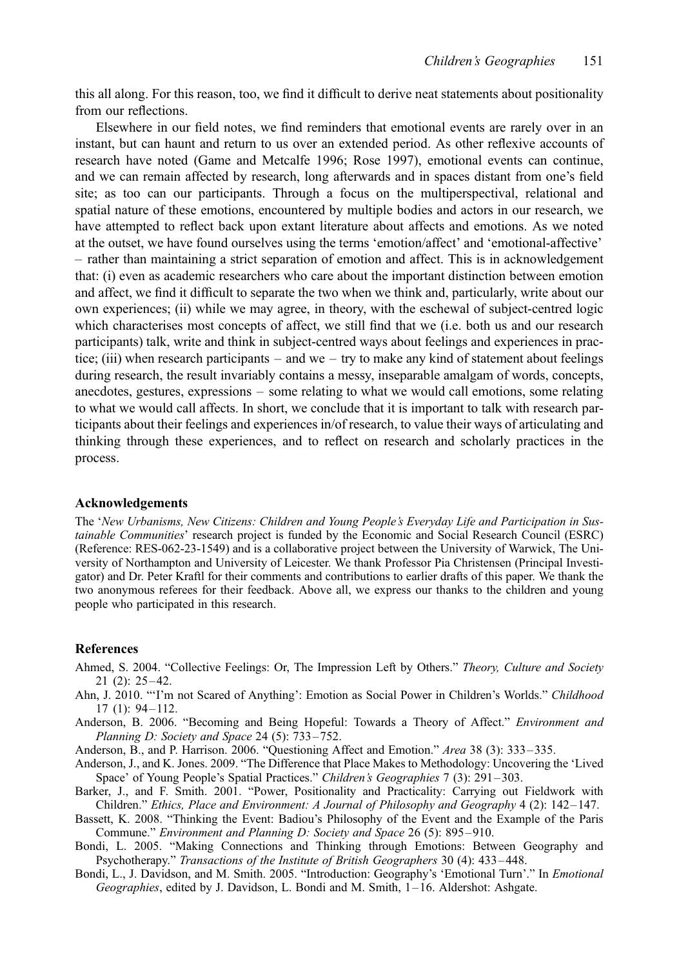this all along. For this reason, too, we find it difficult to derive neat statements about positionality from our reflections.

Elsewhere in our field notes, we find reminders that emotional events are rarely over in an instant, but can haunt and return to us over an extended period. As other reflexive accounts of research have noted (Game and Metcalfe 1996; Rose 1997), emotional events can continue, and we can remain affected by research, long afterwards and in spaces distant from one's field site; as too can our participants. Through a focus on the multiperspectival, relational and spatial nature of these emotions, encountered by multiple bodies and actors in our research, we have attempted to reflect back upon extant literature about affects and emotions. As we noted at the outset, we have found ourselves using the terms 'emotion/affect' and 'emotional-affective' – rather than maintaining a strict separation of emotion and affect. This is in acknowledgement that: (i) even as academic researchers who care about the important distinction between emotion and affect, we find it difficult to separate the two when we think and, particularly, write about our own experiences; (ii) while we may agree, in theory, with the eschewal of subject-centred logic which characterises most concepts of affect, we still find that we (i.e. both us and our research participants) talk, write and think in subject-centred ways about feelings and experiences in practice; (iii) when research participants – and we – try to make any kind of statement about feelings during research, the result invariably contains a messy, inseparable amalgam of words, concepts, anecdotes, gestures, expressions – some relating to what we would call emotions, some relating to what we would call affects. In short, we conclude that it is important to talk with research participants about their feelings and experiences in/of research, to value their ways of articulating and thinking through these experiences, and to reflect on research and scholarly practices in the process.

#### Acknowledgements

The 'New Urbanisms, New Citizens: Children and Young People's Everyday Life and Participation in Sustainable Communities' research project is funded by the Economic and Social Research Council (ESRC) (Reference: RES-062-23-1549) and is a collaborative project between the University of Warwick, The University of Northampton and University of Leicester. We thank Professor Pia Christensen (Principal Investigator) and Dr. Peter Kraftl for their comments and contributions to earlier drafts of this paper. We thank the two anonymous referees for their feedback. Above all, we express our thanks to the children and young people who participated in this research.

#### **References**

- Ahmed, S. 2004. "Collective Feelings: Or, The Impression Left by Others." Theory, Culture and Society 21 (2): 25 –42.
- Ahn, J. 2010. "'I'm not Scared of Anything': Emotion as Social Power in Children's Worlds." Childhood  $17(1): 94 - 112.$
- Anderson, B. 2006. "Becoming and Being Hopeful: Towards a Theory of Affect." Environment and Planning D: Society and Space 24 (5): 733-752.
- Anderson, B., and P. Harrison. 2006. "Questioning Affect and Emotion." Area 38 (3): 333– 335.
- Anderson, J., and K. Jones. 2009. "The Difference that Place Makes to Methodology: Uncovering the 'Lived Space' of Young People's Spatial Practices." Children's Geographies 7 (3): 291 –303.
- Barker, J., and F. Smith. 2001. "Power, Positionality and Practicality: Carrying out Fieldwork with Children." Ethics, Place and Environment: A Journal of Philosophy and Geography 4 (2): 142 –147.
- Bassett, K. 2008. "Thinking the Event: Badiou's Philosophy of the Event and the Example of the Paris Commune." Environment and Planning D: Society and Space 26 (5): 895 –910.
- Bondi, L. 2005. "Making Connections and Thinking through Emotions: Between Geography and Psychotherapy." Transactions of the Institute of British Geographers 30 (4): 433 –448.
- Bondi, L., J. Davidson, and M. Smith. 2005. "Introduction: Geography's 'Emotional Turn'." In Emotional Geographies, edited by J. Davidson, L. Bondi and M. Smith, 1– 16. Aldershot: Ashgate.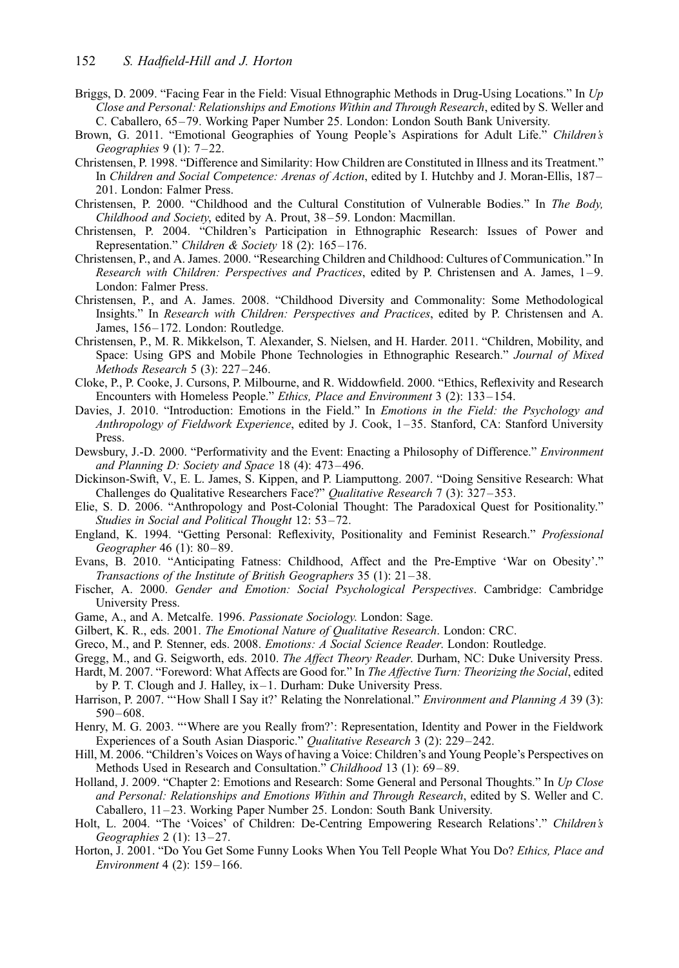- Briggs, D. 2009. "Facing Fear in the Field: Visual Ethnographic Methods in Drug-Using Locations." In Up Close and Personal: Relationships and Emotions Within and Through Research, edited by S. Weller and C. Caballero, 65– 79. Working Paper Number 25. London: London South Bank University.
- Brown, G. 2011. "Emotional Geographies of Young People's Aspirations for Adult Life." Children's Geographies 9 (1): 7-22.
- Christensen, P. 1998. "Difference and Similarity: How Children are Constituted in Illness and its Treatment." In Children and Social Competence: Arenas of Action, edited by I. Hutchby and J. Moran-Ellis, 187 – 201. London: Falmer Press.
- Christensen, P. 2000. "Childhood and the Cultural Constitution of Vulnerable Bodies." In The Body, Childhood and Society, edited by A. Prout, 38–59. London: Macmillan.
- Christensen, P. 2004. "Children's Participation in Ethnographic Research: Issues of Power and Representation." Children & Society 18 (2): 165-176.
- Christensen, P., and A. James. 2000. "Researching Children and Childhood: Cultures of Communication." In Research with Children: Perspectives and Practices, edited by P. Christensen and A. James, 1–9. London: Falmer Press.
- Christensen, P., and A. James. 2008. "Childhood Diversity and Commonality: Some Methodological Insights." In Research with Children: Perspectives and Practices, edited by P. Christensen and A. James, 156–172. London: Routledge.
- Christensen, P., M. R. Mikkelson, T. Alexander, S. Nielsen, and H. Harder. 2011. "Children, Mobility, and Space: Using GPS and Mobile Phone Technologies in Ethnographic Research." Journal of Mixed Methods Research 5 (3): 227 –246.
- Cloke, P., P. Cooke, J. Cursons, P. Milbourne, and R. Widdowfield. 2000. "Ethics, Reflexivity and Research Encounters with Homeless People." Ethics, Place and Environment 3 (2): 133 –154.
- Davies, J. 2010. "Introduction: Emotions in the Field." In *Emotions in the Field: the Psychology and* Anthropology of Fieldwork Experience, edited by J. Cook, 1-35. Stanford, CA: Stanford University Press.
- Dewsbury, J.-D. 2000. "Performativity and the Event: Enacting a Philosophy of Difference." Environment and Planning D: Society and Space 18 (4): 473 –496.
- Dickinson-Swift, V., E. L. James, S. Kippen, and P. Liamputtong. 2007. "Doing Sensitive Research: What Challenges do Qualitative Researchers Face?" Qualitative Research 7 (3): 327 –353.
- Elie, S. D. 2006. "Anthropology and Post-Colonial Thought: The Paradoxical Quest for Positionality." Studies in Social and Political Thought 12: 53-72.
- England, K. 1994. "Getting Personal: Reflexivity, Positionality and Feminist Research." Professional Geographer 46 (1): 80–89.
- Evans, B. 2010. "Anticipating Fatness: Childhood, Affect and the Pre-Emptive 'War on Obesity'." Transactions of the Institute of British Geographers 35 (1): 21–38.
- Fischer, A. 2000. Gender and Emotion: Social Psychological Perspectives. Cambridge: Cambridge University Press.
- Game, A., and A. Metcalfe. 1996. Passionate Sociology. London: Sage.
- Gilbert, K. R., eds. 2001. The Emotional Nature of Qualitative Research. London: CRC.
- Greco, M., and P. Stenner, eds. 2008. Emotions: A Social Science Reader. London: Routledge.
- Gregg, M., and G. Seigworth, eds. 2010. The Affect Theory Reader. Durham, NC: Duke University Press.
- Hardt, M. 2007. "Foreword: What Affects are Good for." In The Affective Turn: Theorizing the Social, edited by P. T. Clough and J. Halley, ix–1. Durham: Duke University Press.
- Harrison, P. 2007. "'How Shall I Say it?' Relating the Nonrelational." *Environment and Planning A* 39 (3):  $590 - 608$ .
- Henry, M. G. 2003. "'Where are you Really from?': Representation, Identity and Power in the Fieldwork Experiences of a South Asian Diasporic." Qualitative Research 3 (2): 229 –242.
- Hill, M. 2006. "Children's Voices on Ways of having a Voice: Children's and Young People's Perspectives on Methods Used in Research and Consultation." Childhood 13 (1): 69-89.
- Holland, J. 2009. "Chapter 2: Emotions and Research: Some General and Personal Thoughts." In Up Close and Personal: Relationships and Emotions Within and Through Research, edited by S. Weller and C. Caballero, 11–23. Working Paper Number 25. London: South Bank University.
- Holt, L. 2004. "The 'Voices' of Children: De-Centring Empowering Research Relations'." Children's Geographies 2 (1): 13 –27.
- Horton, J. 2001. "Do You Get Some Funny Looks When You Tell People What You Do? Ethics, Place and Environment 4 (2): 159 –166.